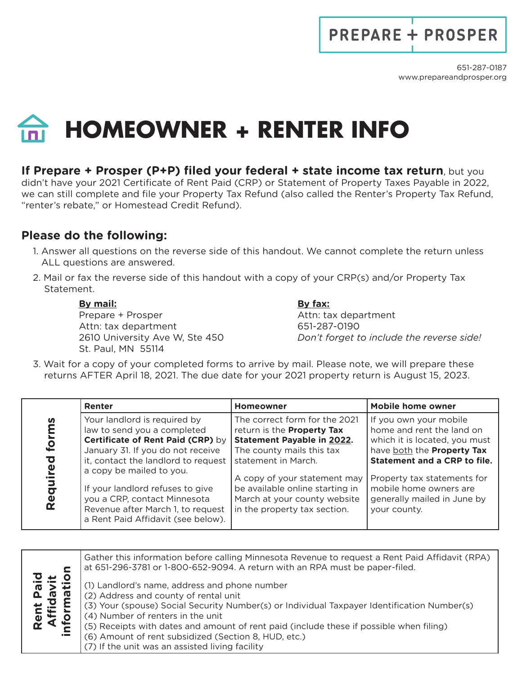## **PREPARE + PROSPER**

## **HOMEOWNER + RENTER INFO**

## **If Prepare + Prosper (P+P) filed your federal + state income tax return**, but you

didn't have your 2021 Certificate of Rent Paid (CRP) or Statement of Property Taxes Payable in 2022, we can still complete and file your Property Tax Refund (also called the Renter's Property Tax Refund, "renter's rebate," or Homestead Credit Refund).

## **Please do the following:**

- 1. Answer all questions on the reverse side of this handout. We cannot complete the return unless ALL questions are answered.
- 2. Mail or fax the reverse side of this handout with a copy of your CRP(s) and/or Property Tax Statement.

**By mail: By fax:** Prepare + Prosper Attn: tax department Attn: tax department 651-287-0190 St. Paul, MN 55114

2610 University Ave W, Ste 450 *Don't forget to include the reverse side!*

3. Wait for a copy of your completed forms to arrive by mail. Please note, we will prepare these returns AFTER April 18, 2021. The due date for your 2021 property return is August 15, 2023.

|                               | Renter                                                                                                                                                                                                                                                                                                                                                  | <b>Homeowner</b>                                                                                                                                                                                                                                                                               | <b>Mobile home owner</b>                                                                                                                                                                                                                                          |
|-------------------------------|---------------------------------------------------------------------------------------------------------------------------------------------------------------------------------------------------------------------------------------------------------------------------------------------------------------------------------------------------------|------------------------------------------------------------------------------------------------------------------------------------------------------------------------------------------------------------------------------------------------------------------------------------------------|-------------------------------------------------------------------------------------------------------------------------------------------------------------------------------------------------------------------------------------------------------------------|
| n<br>for<br>Ō<br>ၑႍ<br>Requir | Your landlord is required by<br>law to send you a completed<br>Certificate of Rent Paid (CRP) by<br>January 31. If you do not receive<br>it, contact the landlord to request<br>a copy be mailed to you.<br>If your landlord refuses to give<br>you a CRP, contact Minnesota<br>Revenue after March 1, to request<br>a Rent Paid Affidavit (see below). | The correct form for the 2021<br>return is the <b>Property Tax</b><br><b>Statement Payable in 2022.</b><br>The county mails this tax<br>statement in March.<br>A copy of your statement may<br>be available online starting in<br>March at your county website<br>in the property tax section. | If you own your mobile<br>home and rent the land on<br>which it is located, you must<br>have both the Property Tax<br><b>Statement and a CRP to file.</b><br>Property tax statements for<br>mobile home owners are<br>generally mailed in June by<br>your county. |

| Gather this information before calling Minnesota Revenue to request a Rent Paid Affidavit (RPA)<br>at 651-296-3781 or 1-800-652-9094. A return with an RPA must be paper-filed.                                                                                                                                       |
|-----------------------------------------------------------------------------------------------------------------------------------------------------------------------------------------------------------------------------------------------------------------------------------------------------------------------|
| (1) Landlord's name, address and phone number<br>(2) Address and county of rental unit<br>(3) Your (spouse) Social Security Number(s) or Individual Taxpayer Identification Number(s)<br>(4) Number of renters in the unit<br>(5) Receipts with dates and amount of rent paid (include these if possible when filing) |
| (6) Amount of rent subsidized (Section 8, HUD, etc.)                                                                                                                                                                                                                                                                  |
| (7) If the unit was an assisted living facility                                                                                                                                                                                                                                                                       |
|                                                                                                                                                                                                                                                                                                                       |